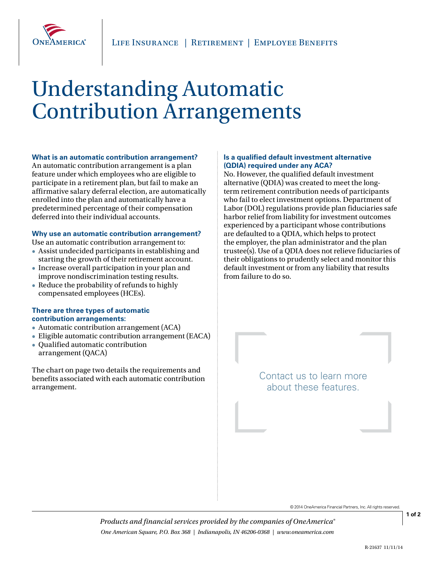

# Understanding Automatic Contribution Arrangements

#### **What is an automatic contribution arrangement?**

An automatic contribution arrangement is a plan feature under which employees who are eligible to participate in a retirement plan, but fail to make an affirmative salary deferral election, are automatically enrolled into the plan and automatically have a predetermined percentage of their compensation deferred into their individual accounts.

# **Why use an automatic contribution arrangement?**

- Use an automatic contribution arrangement to: Assist undecided participants in establishing and
- starting the growth of their retirement account. Increase overall participation in your plan and improve nondiscrimination testing results.
- Reduce the probability of refunds to highly compensated employees (HCEs).

### **There are three types of automatic contribution arrangements:**

- Automatic contribution arrangement (ACA)
- Eligible automatic contribution arrangement (EACA)
- Qualified automatic contribution arrangement (QACA)

The chart on page two details the requirements and benefits associated with each automatic contribution arrangement.

# **Is a qualified default investment alternative (QDIA) required under any ACA?**

No. However, the qualified default investment alternative (QDIA) was created to meet the longterm retirement contribution needs of participants who fail to elect investment options. Department of Labor (DOL) regulations provide plan fiduciaries safe harbor relief from liability for investment outcomes experienced by a participant whose contributions are defaulted to a QDIA, which helps to protect the employer, the plan administrator and the plan trustee(s). Use of a QDIA does not relieve fiduciaries of their obligations to prudently select and monitor this default investment or from any liability that results from failure to do so.

> Contact us to learn more about these features.

> > © 2014 OneAmerica Financial Partners, Inc. All rights reserved.